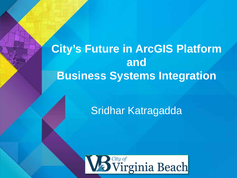**City's Future in ArcGIS Platform and Business Systems Integration**

# Sridhar Katragadda

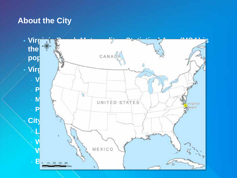# **About the City**

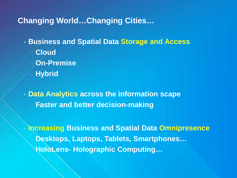# **Changing World…Changing Cities…**

- **Business and Spatial Data Storage and Access**
	- **Cloud**
	- **On-Premise**
	- **Hybrid**

• **Data Analytics across the information scape Faster and better decision-making** 

• **Increasing Business and Spatial Data Omnipresence** - **Desktops, Laptops, Tablets, Smartphones…** - **HoloLens- Holographic Computing…**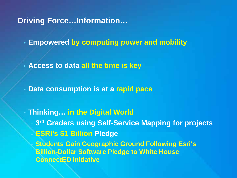**Driving Force…Information…**

• **Empowered by computing power and mobility**

• **Access to data all the time is key**

• **Data consumption is at a rapid pace**

• **Thinking… in the Digital World** - **3rd Graders using Self-Service Mapping for projects** - **ESRI's \$1 Billion Pledge Students Gain Geographic Ground Following Esri's Billion-Dollar Software Pledge to White House ConnectED Initiative**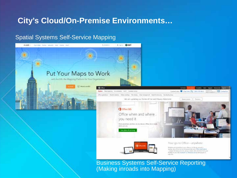# **City's Cloud/On-Premise Environments…**

#### Spatial Systems Self-Service Mapping



(Making inroads into Mapping)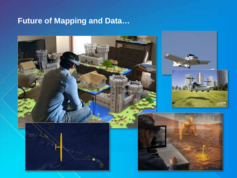# **Future of Mapping and Data…**

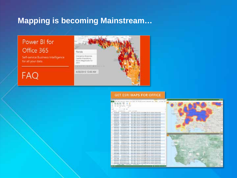# Mapping is becoming Mainstream...

Power BI for Office 365

Self-service Business Intelligence. for all your data

# FAQ



#### **GET ESRI MAPS FOR OFFICE**

|                                                                                 |                                                                                               | $-71$<br>5m           |
|---------------------------------------------------------------------------------|-----------------------------------------------------------------------------------------------|-----------------------|
|                                                                                 |                                                                                               |                       |
| days "their thermal contribu-<br>tests - Elektric                               |                                                                                               |                       |
| the way the like been                                                           | -                                                                                             |                       |
| <b>Hotel City</b>                                                               |                                                                                               |                       |
|                                                                                 |                                                                                               |                       |
| EUTIVER A 6-64                                                                  | m u<br>281 R&FT, RTTR-Fore-Sign 278-114, GAVA, Bobbytelli,                                    |                       |
| <b>PAUL FOR</b><br><b>BUT/2010 P-PR</b>                                         | 281 1987 L.Hil Frit: 4 serve kellige (Cheron), Sellicalis, Newkapeantis                       | <b>Little program</b> |
| ----<br><b><i>RUTUAR E STR</i></b>                                              | 187 THEFT, AFTRE Ford Ange Gilberth, School, Tenissand Et                                     | . .                   |
| <b>KVADNIK EM</b><br><b>BASICIANS</b>                                           | ial latiti, AUTA Fore-Rog Electri, Johns, Indianesia                                          |                       |
| \$55.95 R.J.<br><b>SERUVER LTD</b>                                              | 287 THREE ARTER SILVERING ENLING SUNS REGULARS                                                |                       |
| <b>TANK HERE 20186</b><br><b>ROSSES</b> EX<br>$\cdots$                          | 187 'MEET, 2017'S' Form \$190 (Charl), School, Bellow and                                     |                       |
| <b><i>ARREST Wall</i></b><br><b>FEALURE ROOM</b><br>                            | HO '0001, 40378; Ford Rigs (Dere), Schein, Belling (40)                                       |                       |
| 1494154<br><b>YAN HERE</b>                                                      | 101 THAT I, 30701 Ecole Bilgo (Choose, Sched), Selectoral II.                                 |                       |
| 12120-011<br><b>ULA/JIII-A I/ 54</b>                                            | 287 SAFT ROTH-Fore-Silks-Sterrill, GAUA NIGGAUES                                              |                       |
| <b>JANSER REIG</b><br>10071011                                                  | BET SHIFT ATTN: Form blue (Christ, Johnst, Dentsport).                                        |                       |
| LA/L/MEN KI-25                                                                  | (41-340), ACTA, Lucie stage Edward, Johnat, Tentuaranti                                       |                       |
| EVVIDA ITAR<br><b>CRACCIA</b>                                                   | 247 TABET, PATTY, Frank Bilge (Classifi, Talland, Janitaata)                                  | 181                   |
| EX/L/ORBATABLES<br>                                                             | (a) least Mill-4 freeholding Line<br>19. Jackson, Fleety Lucy and I                           |                       |
| <b>IS/VIOLETE 18</b><br><b>EXISTMATS</b>                                        | 287 '949'L REFTE Super Billiga Educati, Jachen Berkins sidi.                                  |                       |
| 3G/6/201-R #.10<br><b>EFRITELIA</b>                                             | 287 Tediri, PATRI, Atawa Milay (Church, Indiana, Resissanti)                                  |                       |
| 4414111<br>F& Brill Sail 1-8, Inc.                                              | 197 THRTLISTY Tree Kigs Check, Mark Seconds                                                   |                       |
| La/b/olive 14-15<br><b><i><i><u><i><b>RRRRRRRRRPRRPRESS</b></i></u></i></i></b> | 181 Teknik, ASTRI, Australian (Cherok, School, Australian                                     |                       |
| LL/B/ATRA 11 11<br>19539113                                                     | IST WOT JETTY Fore king Chaint, Work Bokkerelli                                               |                       |
| es/Watch has<br>eta kom                                                         | 24-T4617, NUTR-Fore-Bigs-Discols, URock, NedasterR                                            |                       |
| <b>BUNDIAK JUR</b><br>10111118                                                  | 147 THEY'S PATTER FAINTING STRUCK School, Box                                                 |                       |
| ED-DOVER ERISE<br>121.044                                                       | 281 VALUE ALLEN A GANG ALAN COLLANSING PARAGALANT                                             |                       |
| <b><i>RESTLET</i></b><br><b>TE/LANKS ELDS</b>                                   | 187 WEST, MOSTE States Street Editors, Schools, Scottester,                                   |                       |
| <b>SPILLA EMI</b><br><b>TERMINER KIVIR</b>                                      | (47 YASTI, ACTIK, Atom Bilgs (Church, Johns), Restourants                                     |                       |
| 100337-015<br><b>FRILINGS JULIE</b>                                             | 287 FARTIS, MATHE SLAVE BOARD STRUCK, SUNDAIL NO.                                             |                       |
| 14577-003<br>Elyty/Olivia L3: Rd                                                | (a) Tekel, MTSI, Form-Rigo Ellero), Schrab Restaurants                                        |                       |
| TO/LIVERA LP 24<br><b>MITJ 1816</b>                                             | <b>INT SWITCHERS Functions CO-</b><br>A. Mond. Nekkareth                                      |                       |
| 44427.144<br>45/5/49-9-9-2                                                      | (a) half, \$172, food-dig-25c/21, labed, hea-                                                 |                       |
| <b>WAS DOIN FORM</b><br>40143-019                                               | <b>AT REIT, NITH TAN RIG 25-10, SAUL ROLLED</b>                                               |                       |
| 14 EUPAA JOHN<br><b><i>ALL LIAI</i></b>                                         | 24.1 TAKES, MCTOC South Atlant Classers, School, Designation                                  |                       |
| <b>UVETIMER JE PE</b>                                                           | WEST, MILITE Excel BOAL EDucat, School Ballinearth                                            |                       |
| <b><i>SIVEKEEDIN 21.83</i></b><br>14   115   116   126                          | <b>NET ACTS Anno 85p Khot</b><br>(In Jackson, Hardcline, action<br>Millet statistics for<br>m |                       |
|                                                                                 |                                                                                               |                       |
|                                                                                 |                                                                                               |                       |
|                                                                                 |                                                                                               |                       |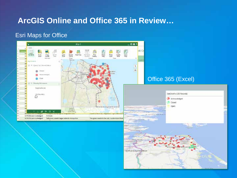# **ArcGIS Online and Office 365 in Review...**

#### **Esri Maps for Office**

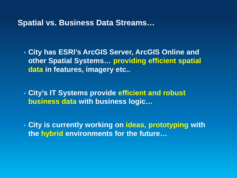**Spatial vs. Business Data Streams…**

• **City has ESRI's ArcGIS Server, ArcGIS Online and other Spatial Systems… providing efficient spatial data in features, imagery etc..**

• **City's IT Systems provide efficient and robust business data with business logic…**

• **City is currently working on ideas, prototyping with the hybrid environments for the future…**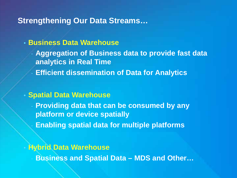### **Strengthening Our Data Streams…**

### • **Business Data Warehouse**

- **Aggregation of Business data to provide fast data analytics in Real Time**
- **Efficient dissemination of Data for Analytics**

#### • **Spatial Data Warehouse**

**Providing data that can be consumed by any platform or device spatially**

- **Enabling spatial data for multiple platforms**

#### • **Hybrid Data Warehouse**

- **Business and Spatial Data – MDS and Other…**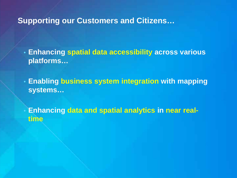### **Supporting our Customers and Citizens…**

• **Enhancing spatial data accessibility across various platforms…**

• **Enabling business system integration with mapping systems…**

• **Enhancing data and spatial analytics in near realtime**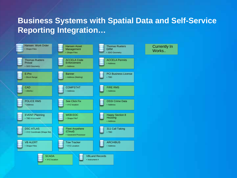# **Business Systems with Spatial Data and Self-Service Reporting Integration…**

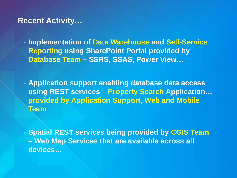### **Recent Activity…**

• **Implementation of Data Warehouse and Self-Service Reporting using SharePoint Portal provided by Database Team – SSRS, SSAS, Power View…**

• **Application support enabling database data access using REST services – Property Search Application… provided by Application Support, Web and Mobile Team**

• **Spatial REST services being provided by CGIS Team – Web Map Services that are available across all devices…**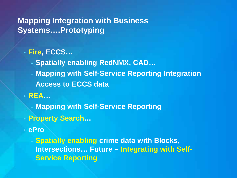# **Mapping Integration with Business Systems….Prototyping**

# • **Fire, ECCS…**

- **Spatially enabling RedNMX, CAD…**
- **Mapping with Self-Service Reporting Integration**
- **Access to ECCS data**
- **REA…**
	- **Mapping with Self-Service Reporting**
- **Property Search…**
- **ePro**

- **Spatially enabling crime data with Blocks, Intersections… Future – Integrating with Self-Service Reporting**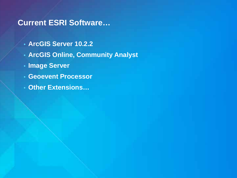# **Current ESRI Software…**

- **ArcGIS Server 10.2.2**
- **ArcGIS Online, Community Analyst**
- **Image Server**
- **Geoevent Processor**
- **Other Extensions…**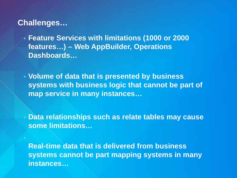### **Challenges…**

- **Feature Services with limitations (1000 or 2000 features…) – Web AppBuilder, Operations Dashboards…**
- **Volume of data that is presented by business systems with business logic that cannot be part of map service in many instances…**

• **Data relationships such as relate tables may cause some limitations…**

**Real-time data that is delivered from business systems cannot be part mapping systems in many instances…**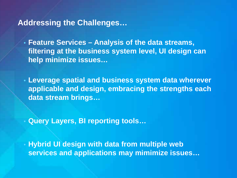### **Addressing the Challenges…**

• **Feature Services – Analysis of the data streams, filtering at the business system level, UI design can help minimize issues…**

• **Leverage spatial and business system data wherever applicable and design, embracing the strengths each data stream brings…**

• **Query Layers, BI reporting tools…** 

• **Hybrid UI design with data from multiple web services and applications may mimimize issues…**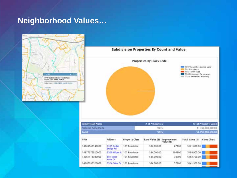## **Neighborhood Values…**



Total

GPIN

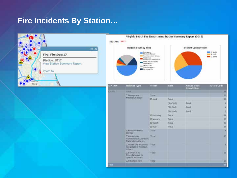# **Fire Incidents By Station...**



Virginia Beach Fire Department Station Summary Report (2015)

Station: ST17





| <b>STATION</b> | <b>Incident Type</b>                                                    | Month           | <b>Shift</b> | <b>Nature Code</b><br>Description | <b>Nature Code</b> |
|----------------|-------------------------------------------------------------------------|-----------------|--------------|-----------------------------------|--------------------|
| 35717.         | Total                                                                   |                 |              |                                   | 116                |
|                | <b>Cilmorysmy</b><br>Nedical /Rescue                                    | Total           |              |                                   | 22                 |
|                |                                                                         | <b>CI April</b> | Total        |                                   | 17.                |
|                |                                                                         |                 | ELA Sam      | Total                             |                    |
|                |                                                                         |                 | 03 Shift     | Total                             |                    |
|                |                                                                         |                 | ELC SAIT     | Total                             | $\frac{4}{7}$      |
|                |                                                                         | EB February     | <b>Total</b> |                                   | 18                 |
|                |                                                                         | <b>Blancary</b> | Total        |                                   | 13 <sub>1</sub>    |
|                |                                                                         | EE March        | Total        |                                   | 16                 |
|                |                                                                         | <b>DEMAN</b>    | <b>Total</b> |                                   | 11                 |
|                | <b>ELEME Prevention</b><br><b>BUYEAU</b>                                | Total           |              |                                   | ×                  |
|                | <b>CHazartous</b><br>Constitution Mazandous<br>Materials incidents      | <b>Yotal</b>    |              |                                   | 10                 |
|                | <b>COther Fire Incidents Total</b><br>(Vegetation, Rubbish,<br>Critiers |                 |              |                                   |                    |
|                | <b>IDSenice Call</b><br>Miscellaneous or<br>Special Incidents           | Total           |              |                                   | 16                 |
|                | EStructure Fire                                                         | Tintal          |              |                                   | 213                |
| <b>fotal</b>   |                                                                         |                 |              |                                   | 134                |